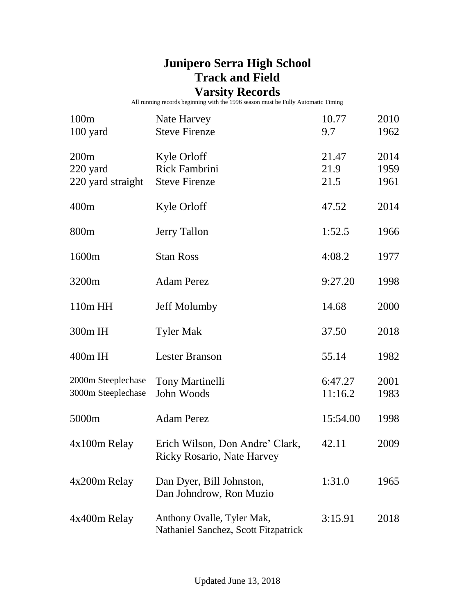## **Junipero Serra High School Track and Field**

## **Varsity Records**

All running records beginning with the 1996 season must be Fully Automatic Timing

| 100m<br>100 yard                         | Nate Harvey<br><b>Steve Firenze</b>                                  | 10.77<br>9.7          | 2010<br>1962         |
|------------------------------------------|----------------------------------------------------------------------|-----------------------|----------------------|
| 200m<br>220 yard<br>220 yard straight    | Kyle Orloff<br><b>Rick Fambrini</b><br><b>Steve Firenze</b>          | 21.47<br>21.9<br>21.5 | 2014<br>1959<br>1961 |
| 400m                                     | Kyle Orloff                                                          | 47.52                 | 2014                 |
| 800 <sub>m</sub>                         | <b>Jerry Tallon</b>                                                  | 1:52.5                | 1966                 |
| 1600m                                    | <b>Stan Ross</b>                                                     | 4:08.2                | 1977                 |
| 3200m                                    | <b>Adam Perez</b>                                                    | 9:27.20               | 1998                 |
| 110m HH                                  | <b>Jeff Molumby</b>                                                  | 14.68                 | 2000                 |
| 300m IH                                  | <b>Tyler Mak</b>                                                     | 37.50                 | 2018                 |
| $400m$ IH                                | <b>Lester Branson</b>                                                | 55.14                 | 1982                 |
| 2000m Steeplechase<br>3000m Steeplechase | <b>Tony Martinelli</b><br>John Woods                                 | 6:47.27<br>11:16.2    | 2001<br>1983         |
| 5000m                                    | <b>Adam Perez</b>                                                    | 15:54.00              | 1998                 |
| 4x100m Relay                             | Erich Wilson, Don Andre' Clark,<br><b>Ricky Rosario, Nate Harvey</b> | 42.11                 | 2009                 |
| 4x200m Relay                             | Dan Dyer, Bill Johnston,<br>Dan Johndrow, Ron Muzio                  | 1:31.0                | 1965                 |
| 4x400m Relay                             | Anthony Ovalle, Tyler Mak,<br>Nathaniel Sanchez, Scott Fitzpatrick   | 3:15.91               | 2018                 |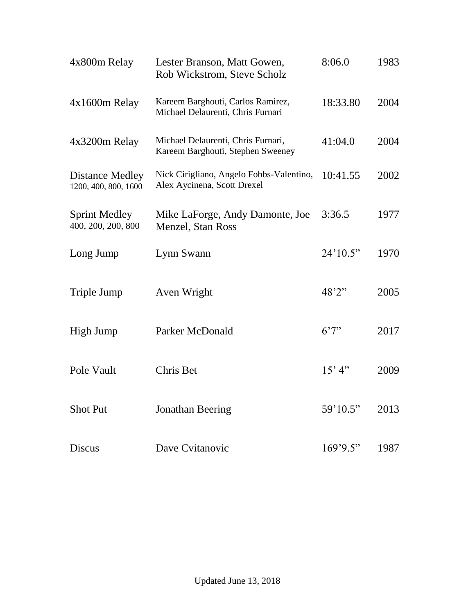| 4x800m Relay                                   | Lester Branson, Matt Gowen,<br>Rob Wickstrom, Steve Scholz              | 8:06.0   | 1983 |
|------------------------------------------------|-------------------------------------------------------------------------|----------|------|
| 4x1600m Relay                                  | Kareem Barghouti, Carlos Ramirez,<br>Michael Delaurenti, Chris Furnari  | 18:33.80 | 2004 |
| 4x3200m Relay                                  | Michael Delaurenti, Chris Furnari,<br>Kareem Barghouti, Stephen Sweeney | 41:04.0  | 2004 |
| <b>Distance Medley</b><br>1200, 400, 800, 1600 | Nick Cirigliano, Angelo Fobbs-Valentino,<br>Alex Aycinena, Scott Drexel | 10:41.55 | 2002 |
| <b>Sprint Medley</b><br>400, 200, 200, 800     | Mike LaForge, Andy Damonte, Joe<br><b>Menzel</b> , Stan Ross            | 3:36.5   | 1977 |
| Long Jump                                      | Lynn Swann                                                              | 24'10.5" | 1970 |
| Triple Jump                                    | Aven Wright                                                             | 48'2"    | 2005 |
| High Jump                                      | Parker McDonald                                                         | 6'7''    | 2017 |
| Pole Vault                                     | Chris Bet                                                               | 15' 4''  | 2009 |
| <b>Shot Put</b>                                | <b>Jonathan Beering</b>                                                 | 59'10.5" | 2013 |
| <b>Discus</b>                                  | Dave Cvitanovic                                                         | 169'9.5" | 1987 |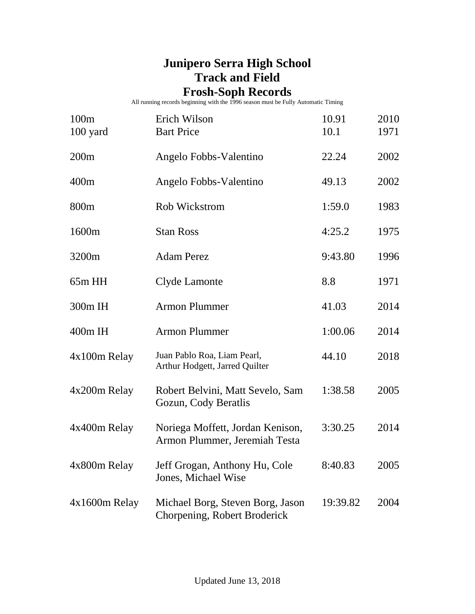## **Junipero Serra High School Track and Field**

## **Frosh-Soph Records**

All running records beginning with the 1996 season must be Fully Automatic Timing

| 100m<br>100 yard | Erich Wilson<br><b>Bart Price</b>                                 | 10.91<br>10.1 | 2010<br>1971 |
|------------------|-------------------------------------------------------------------|---------------|--------------|
| 200m             | Angelo Fobbs-Valentino                                            | 22.24         | 2002         |
| 400m             | Angelo Fobbs-Valentino                                            | 49.13         | 2002         |
| 800 <sub>m</sub> | <b>Rob Wickstrom</b>                                              | 1:59.0        | 1983         |
| 1600m            | <b>Stan Ross</b>                                                  | 4:25.2        | 1975         |
| 3200m            | <b>Adam Perez</b>                                                 | 9:43.80       | 1996         |
| $65m$ HH         | Clyde Lamonte                                                     | 8.8           | 1971         |
| 300m IH          | <b>Armon Plummer</b>                                              | 41.03         | 2014         |
| 400m IH          | <b>Armon Plummer</b>                                              | 1:00.06       | 2014         |
| 4x100m Relay     | Juan Pablo Roa, Liam Pearl,<br>Arthur Hodgett, Jarred Quilter     | 44.10         | 2018         |
| 4x200m Relay     | Robert Belvini, Matt Sevelo, Sam<br>Gozun, Cody Beratlis          | 1:38.58       | 2005         |
| 4x400m Relay     | Noriega Moffett, Jordan Kenison,<br>Armon Plummer, Jeremiah Testa | 3:30.25       | 2014         |
| 4x800m Relay     | Jeff Grogan, Anthony Hu, Cole<br>Jones, Michael Wise              | 8:40.83       | 2005         |
| $4x1600m$ Relay  | Michael Borg, Steven Borg, Jason<br>Chorpening, Robert Broderick  | 19:39.82      | 2004         |